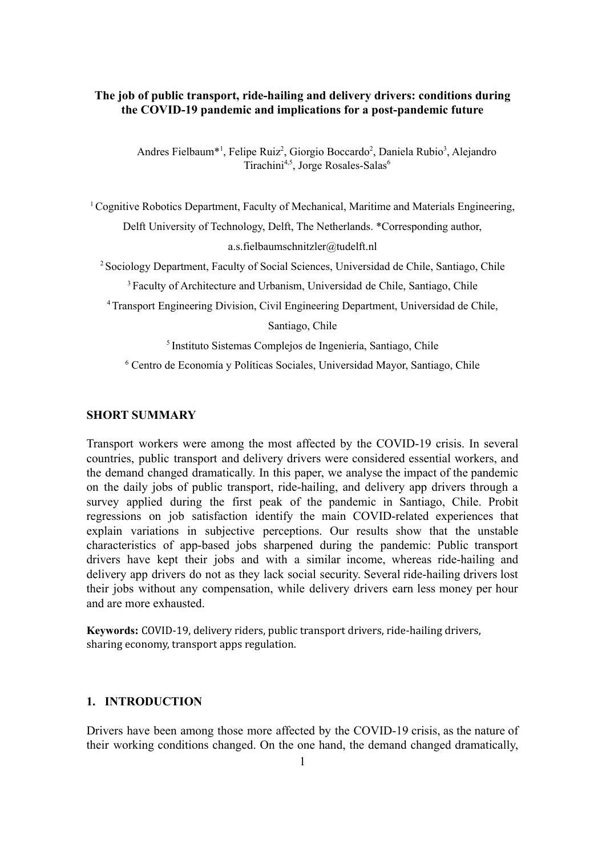## **The job of public transport, ride-hailing and delivery drivers: conditions during the COVID-19 pandemic and implications for a post-pandemic future**

Andres Fielbaum<sup>\*1</sup>, Felipe Ruiz<sup>2</sup>, Giorgio Boccardo<sup>2</sup>, Daniela Rubio<sup>3</sup>, Alejandro Tirachini<sup>4,5</sup>, Jorge Rosales-Salas<sup>6</sup>

 $1$ Cognitive Robotics Department, Faculty of Mechanical, Maritime and Materials Engineering, Delft University of Technology, Delft, The Netherlands. \*Corresponding author, a.s.fielbaumschnitzler@tudelft.nl

<sup>2</sup> Sociology Department, Faculty of Social Sciences, Universidad de Chile, Santiago, Chile

<sup>3</sup> Faculty of Architecture and Urbanism, Universidad de Chile, Santiago, Chile

<sup>4</sup>Transport Engineering Division, Civil Engineering Department, Universidad de Chile,

Santiago, Chile

5 Instituto Sistemas Complejos de Ingeniería, Santiago, Chile

<sup>6</sup> Centro de Economía y Políticas Sociales, Universidad Mayor, Santiago, Chile

### **SHORT SUMMARY**

Transport workers were among the most affected by the COVID-19 crisis. In several countries, public transport and delivery drivers were considered essential workers, and the demand changed dramatically. In this paper, we analyse the impact of the pandemic on the daily jobs of public transport, ride-hailing, and delivery app drivers through a survey applied during the first peak of the pandemic in Santiago, Chile. Probit regressions on job satisfaction identify the main COVID-related experiences that explain variations in subjective perceptions. Our results show that the unstable characteristics of app-based jobs sharpened during the pandemic: Public transport drivers have kept their jobs and with a similar income, whereas ride-hailing and delivery app drivers do not as they lack social security. Several ride-hailing drivers lost their jobs without any compensation, while delivery drivers earn less money per hour and are more exhausted.

**Keywords:** COVID-19, delivery riders, public transport drivers, ride-hailing drivers, sharing economy, transport apps regulation.

### **1. INTRODUCTION**

Drivers have been among those more affected by the COVID-19 crisis, as the nature of their working conditions changed. On the one hand, the demand changed dramatically,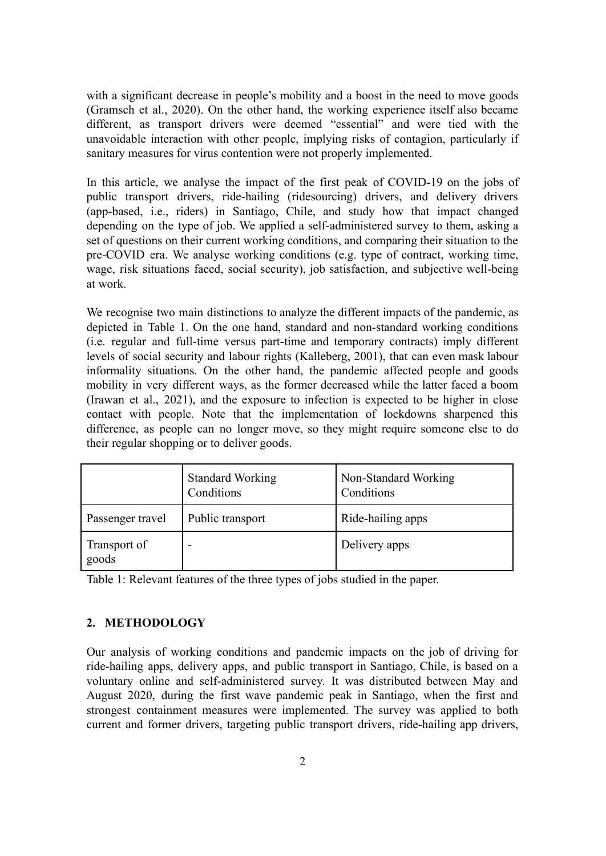with a significant decrease in people's mobility and a boost in the need to move goods (Gramsch et al., 2020). On the other hand, the working experience itself also became different, as transport drivers were deemed "essential" and were tied with the unavoidable interaction with other people, implying risks of contagion, particularly if sanitary measures for virus contention were not properly implemented.

In this article, we analyse the impact of the first peak of COVID-19 on the jobs of public transport drivers, ride-hailing (ridesourcing) drivers, and delivery drivers (app-based, i.e., riders) in Santiago, Chile, and study how that impact changed depending on the type of job. We applied a self-administered survey to them, asking a set of questions on their current working conditions, and comparing their situation to the pre-COVID era. We analyse working conditions (e.g. type of contract, working time, wage, risk situations faced, social security), job satisfaction, and subjective well-being at work.

We recognise two main distinctions to analyze the different impacts of the pandemic, as depicted in Table 1. On the one hand, standard and non-standard working conditions (i.e. regular and full-time versus part-time and temporary contracts) imply different levels of social security and labour rights (Kalleberg, 2001), that can even mask labour informality situations. On the other hand, the pandemic affected people and goods mobility in very different ways, as the former decreased while the latter faced a boom (Irawan et al., 2021), and the exposure to infection is expected to be higher in close contact with people. Note that the implementation of lockdowns sharpened this difference, as people can no longer move, so they might require someone else to do their regular shopping or to deliver goods.

|                       | <b>Standard Working</b><br>Conditions | Non-Standard Working<br>Conditions |
|-----------------------|---------------------------------------|------------------------------------|
| Passenger travel      | Public transport                      | Ride-hailing apps                  |
| Transport of<br>goods |                                       | Delivery apps                      |

Table 1: Relevant features of the three types of jobs studied in the paper.

## **2. METHODOLOGY**

Our analysis of working conditions and pandemic impacts on the job of driving for ride-hailing apps, delivery apps, and public transport in Santiago, Chile, is based on a voluntary online and self-administered survey. It was distributed between May and August 2020, during the first wave pandemic peak in Santiago, when the first and strongest containment measures were implemented. The survey was applied to both current and former drivers, targeting public transport drivers, ride-hailing app drivers,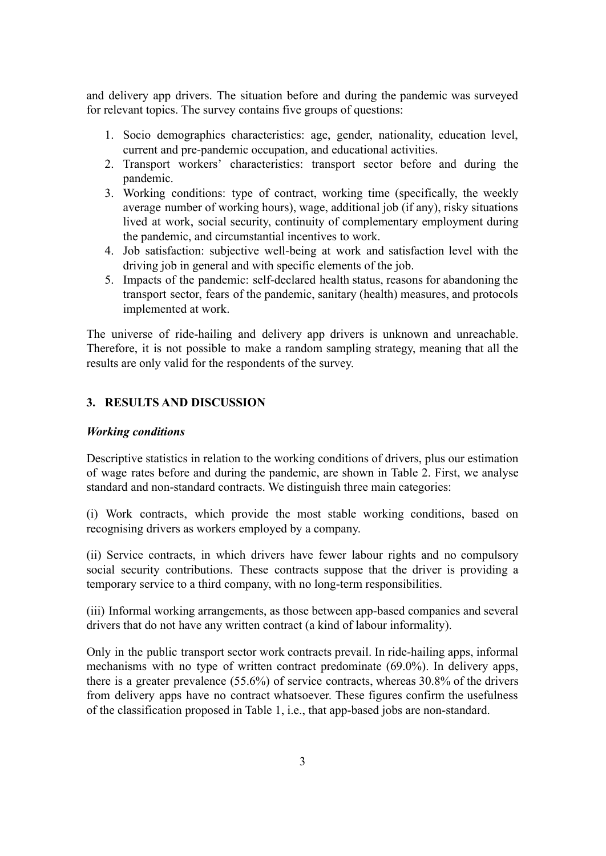and delivery app drivers. The situation before and during the pandemic was surveyed for relevant topics. The survey contains five groups of questions:

- 1. Socio demographics characteristics: age, gender, nationality, education level, current and pre-pandemic occupation, and educational activities.
- 2. Transport workers' characteristics: transport sector before and during the pandemic.
- 3. Working conditions: type of contract, working time (specifically, the weekly average number of working hours), wage, additional job (if any), risky situations lived at work, social security, continuity of complementary employment during the pandemic, and circumstantial incentives to work.
- 4. Job satisfaction: subjective well-being at work and satisfaction level with the driving job in general and with specific elements of the job.
- 5. Impacts of the pandemic: self-declared health status, reasons for abandoning the transport sector, fears of the pandemic, sanitary (health) measures, and protocols implemented at work.

The universe of ride-hailing and delivery app drivers is unknown and unreachable. Therefore, it is not possible to make a random sampling strategy, meaning that all the results are only valid for the respondents of the survey.

## **3. RESULTS AND DISCUSSION**

### *Working conditions*

Descriptive statistics in relation to the working conditions of drivers, plus our estimation of wage rates before and during the pandemic, are shown in Table 2. First, we analyse standard and non-standard contracts. We distinguish three main categories:

(i) Work contracts, which provide the most stable working conditions, based on recognising drivers as workers employed by a company.

(ii) Service contracts, in which drivers have fewer labour rights and no compulsory social security contributions. These contracts suppose that the driver is providing a temporary service to a third company, with no long-term responsibilities.

(iii) Informal working arrangements, as those between app-based companies and several drivers that do not have any written contract (a kind of labour informality).

Only in the public transport sector work contracts prevail. In ride-hailing apps, informal mechanisms with no type of written contract predominate (69.0%). In delivery apps, there is a greater prevalence (55.6%) of service contracts, whereas 30.8% of the drivers from delivery apps have no contract whatsoever. These figures confirm the usefulness of the classification proposed in Table 1, i.e., that app-based jobs are non-standard.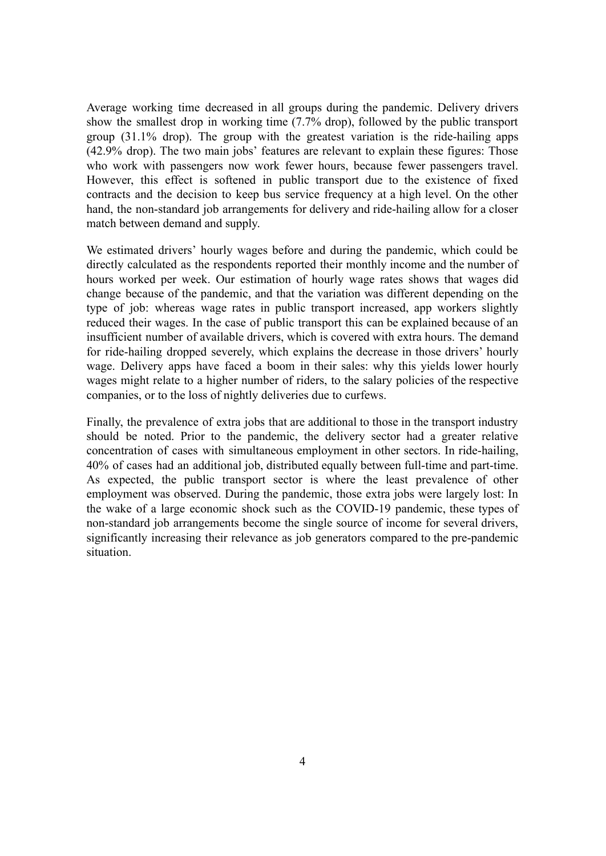Average working time decreased in all groups during the pandemic. Delivery drivers show the smallest drop in working time (7.7% drop), followed by the public transport group (31.1% drop). The group with the greatest variation is the ride-hailing apps (42.9% drop). The two main jobs' features are relevant to explain these figures: Those who work with passengers now work fewer hours, because fewer passengers travel. However, this effect is softened in public transport due to the existence of fixed contracts and the decision to keep bus service frequency at a high level. On the other hand, the non-standard job arrangements for delivery and ride-hailing allow for a closer match between demand and supply.

We estimated drivers' hourly wages before and during the pandemic, which could be directly calculated as the respondents reported their monthly income and the number of hours worked per week. Our estimation of hourly wage rates shows that wages did change because of the pandemic, and that the variation was different depending on the type of job: whereas wage rates in public transport increased, app workers slightly reduced their wages. In the case of public transport this can be explained because of an insufficient number of available drivers, which is covered with extra hours. The demand for ride-hailing dropped severely, which explains the decrease in those drivers' hourly wage. Delivery apps have faced a boom in their sales: why this yields lower hourly wages might relate to a higher number of riders, to the salary policies of the respective companies, or to the loss of nightly deliveries due to curfews.

Finally, the prevalence of extra jobs that are additional to those in the transport industry should be noted. Prior to the pandemic, the delivery sector had a greater relative concentration of cases with simultaneous employment in other sectors. In ride-hailing, 40% of cases had an additional job, distributed equally between full-time and part-time. As expected, the public transport sector is where the least prevalence of other employment was observed. During the pandemic, those extra jobs were largely lost: In the wake of a large economic shock such as the COVID-19 pandemic, these types of non-standard job arrangements become the single source of income for several drivers, significantly increasing their relevance as job generators compared to the pre-pandemic situation.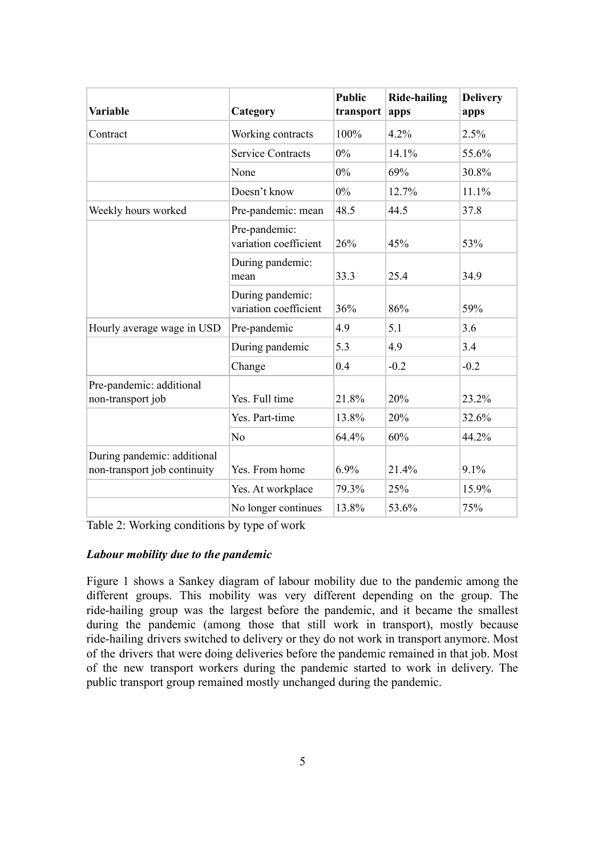| <b>Variable</b>                                             | Category                                  | <b>Public</b><br>transport | <b>Ride-hailing</b><br>apps | <b>Delivery</b><br>apps |
|-------------------------------------------------------------|-------------------------------------------|----------------------------|-----------------------------|-------------------------|
| Contract                                                    | Working contracts                         | 100%                       | 4.2%                        | 2.5%                    |
|                                                             | <b>Service Contracts</b>                  | 0%                         | 14.1%                       | 55.6%                   |
|                                                             | None                                      | $0\%$                      | 69%                         | 30.8%                   |
|                                                             | Doesn't know                              | $0\%$                      | 12.7%                       | 11.1%                   |
| Weekly hours worked                                         | Pre-pandemic: mean                        | 48.5                       | 44.5                        | 37.8                    |
|                                                             | Pre-pandemic:<br>variation coefficient    | 26%                        | 45%                         | 53%                     |
|                                                             | During pandemic:<br>mean                  | 33.3                       | 25.4                        | 34.9                    |
|                                                             | During pandemic:<br>variation coefficient | 36%                        | 86%                         | 59%                     |
| Hourly average wage in USD                                  | Pre-pandemic                              | 4.9                        | 5.1                         | 3.6                     |
|                                                             | During pandemic                           | 5.3                        | 4.9                         | 3.4                     |
|                                                             | Change                                    | 0.4                        | $-0.2$                      | $-0.2$                  |
| Pre-pandemic: additional<br>non-transport job               | Yes. Full time                            | 21.8%                      | 20%                         | 23.2%                   |
|                                                             | Yes. Part-time                            | 13.8%                      | 20%                         | 32.6%                   |
|                                                             | No                                        | 64.4%                      | 60%                         | 44.2%                   |
| During pandemic: additional<br>non-transport job continuity | Yes. From home                            | 6.9%                       | 21.4%                       | 9.1%                    |
|                                                             | Yes. At workplace                         | 79.3%                      | 25%                         | 15.9%                   |
|                                                             | No longer continues                       | 13.8%                      | 53.6%                       | 75%                     |

Table 2: Working conditions by type of work

# *Labour mobility due to the pandemic*

Figure 1 shows a Sankey diagram of labour mobility due to the pandemic among the different groups. This mobility was very different depending on the group. The ride-hailing group was the largest before the pandemic, and it became the smallest during the pandemic (among those that still work in transport), mostly because ride-hailing drivers switched to delivery or they do not work in transport anymore. Most of the drivers that were doing deliveries before the pandemic remained in that job. Most of the new transport workers during the pandemic started to work in delivery. The public transport group remained mostly unchanged during the pandemic.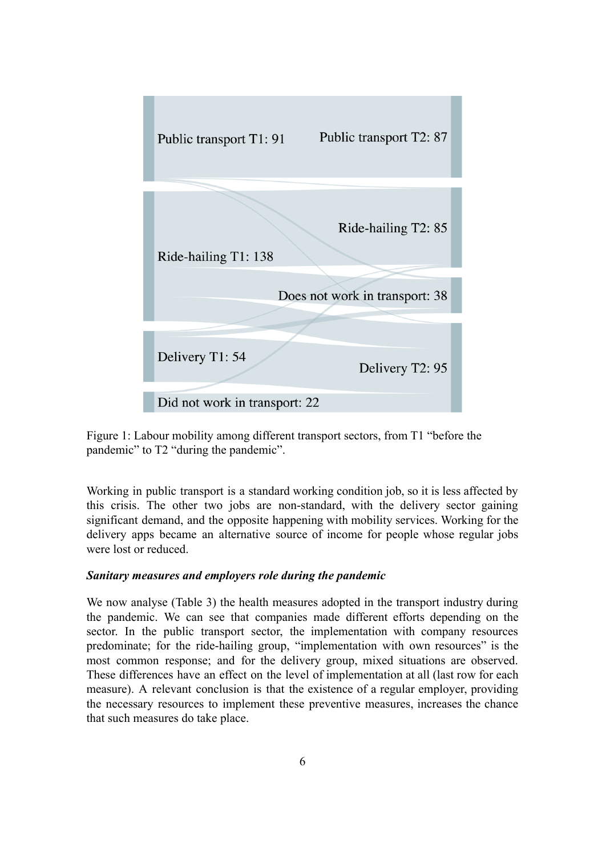

Figure 1: Labour mobility among different transport sectors, from T1 "before the pandemic" to T2 "during the pandemic".

Working in public transport is a standard working condition job, so it is less affected by this crisis. The other two jobs are non-standard, with the delivery sector gaining significant demand, and the opposite happening with mobility services. Working for the delivery apps became an alternative source of income for people whose regular jobs were lost or reduced.

## *Sanitary measures and employers role during the pandemic*

We now analyse (Table 3) the health measures adopted in the transport industry during the pandemic. We can see that companies made different efforts depending on the sector. In the public transport sector, the implementation with company resources predominate; for the ride-hailing group, "implementation with own resources" is the most common response; and for the delivery group, mixed situations are observed. These differences have an effect on the level of implementation at all (last row for each measure). A relevant conclusion is that the existence of a regular employer, providing the necessary resources to implement these preventive measures, increases the chance that such measures do take place.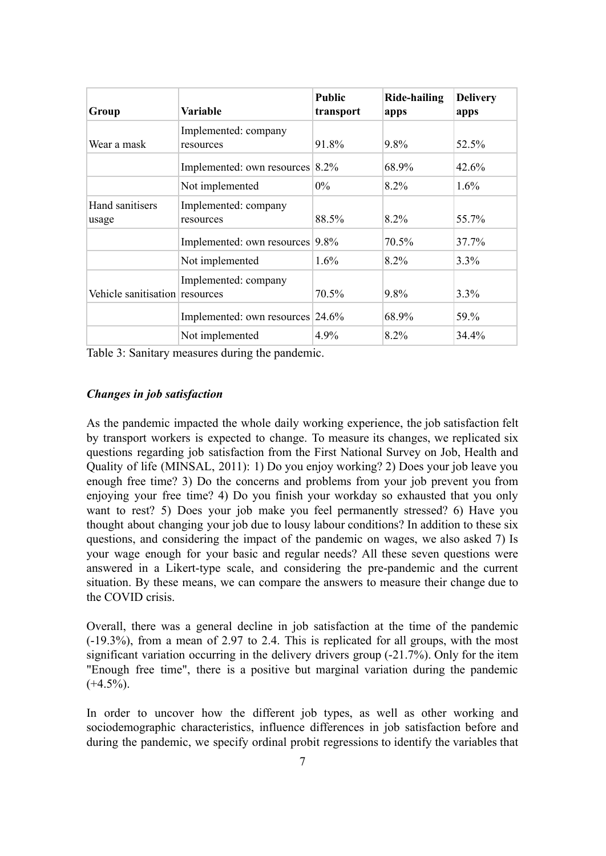| Group                          | <b>Variable</b>                   | <b>Public</b><br>transport | Ride-hailing<br>apps | <b>Delivery</b><br>apps |
|--------------------------------|-----------------------------------|----------------------------|----------------------|-------------------------|
| Wear a mask                    | Implemented: company<br>resources | 91.8%                      | $9.8\%$              | 52.5%                   |
|                                | Implemented: own resources 8.2%   |                            | 68.9%                | 42.6%                   |
|                                | Not implemented                   | $0\%$                      | $8.2\%$              | $1.6\%$                 |
| Hand sanitisers<br>usage       | Implemented: company<br>resources | 88.5%                      | $8.2\%$              | 55.7%                   |
|                                | Implemented: own resources        | $9.8\%$                    | 70.5%                | 37.7%                   |
|                                | Not implemented                   | $1.6\%$                    | 8.2%                 | $3.3\%$                 |
| Vehicle sanitisation resources | Implemented: company              | 70.5%                      | 9.8%                 | 3.3%                    |
|                                | Implemented: own resources 24.6%  |                            | 68.9%                | 59.%                    |
|                                | Not implemented                   | 4.9%                       | 8.2%                 | 34.4%                   |

Table 3: Sanitary measures during the pandemic.

### *Changes in job satisfaction*

As the pandemic impacted the whole daily working experience, the job satisfaction felt by transport workers is expected to change. To measure its changes, we replicated six questions regarding job satisfaction from the First National Survey on Job, Health and Quality of life (MINSAL, 2011): 1) Do you enjoy working? 2) Does your job leave you enough free time? 3) Do the concerns and problems from your job prevent you from enjoying your free time? 4) Do you finish your workday so exhausted that you only want to rest? 5) Does your job make you feel permanently stressed? 6) Have you thought about changing your job due to lousy labour conditions? In addition to these six questions, and considering the impact of the pandemic on wages, we also asked 7) Is your wage enough for your basic and regular needs? All these seven questions were answered in a Likert-type scale, and considering the pre-pandemic and the current situation. By these means, we can compare the answers to measure their change due to the COVID crisis.

Overall, there was a general decline in job satisfaction at the time of the pandemic (-19.3%), from a mean of 2.97 to 2.4. This is replicated for all groups, with the most significant variation occurring in the delivery drivers group (-21.7%). Only for the item "Enough free time", there is a positive but marginal variation during the pandemic  $(+4.5\%)$ .

In order to uncover how the different job types, as well as other working and sociodemographic characteristics, influence differences in job satisfaction before and during the pandemic, we specify ordinal probit regressions to identify the variables that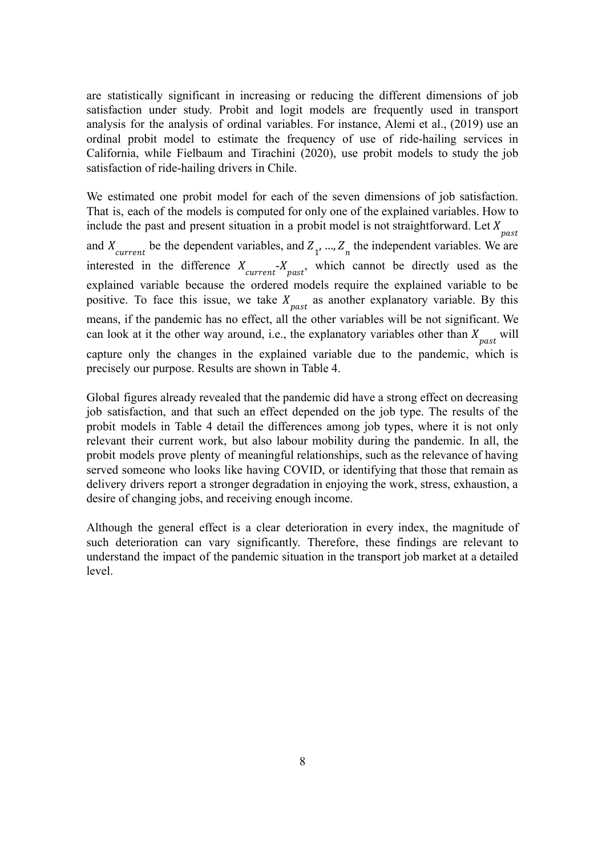are statistically significant in increasing or reducing the different dimensions of job satisfaction under study. Probit and logit models are frequently used in transport analysis for the analysis of ordinal variables. For instance, Alemi et al., (2019) use an ordinal probit model to estimate the frequency of use of ride-hailing services in California, while Fielbaum and Tirachini (2020), use probit models to study the job satisfaction of ride-hailing drivers in Chile.

We estimated one probit model for each of the seven dimensions of job satisfaction. That is, each of the models is computed for only one of the explained variables. How to include the past and present situation in a probit model is not straightforward. Let  $X_{\text{post}}$ past and  $X_{current}$  be the dependent variables, and  $Z_1$ , ...,  $Z_n$  the independent variables. We are interested in the difference  $X_{current} - X_{past}$ , which cannot be directly used as the explained variable because the ordered models require the explained variable to be positive. To face this issue, we take  $X_{past}$  as another explanatory variable. By this means, if the pandemic has no effect, all the other variables will be not significant. We can look at it the other way around, i.e., the explanatory variables other than  $X_{past}$  will

capture only the changes in the explained variable due to the pandemic, which is precisely our purpose. Results are shown in Table 4.

Global figures already revealed that the pandemic did have a strong effect on decreasing job satisfaction, and that such an effect depended on the job type. The results of the probit models in Table 4 detail the differences among job types, where it is not only relevant their current work, but also labour mobility during the pandemic. In all, the probit models prove plenty of meaningful relationships, such as the relevance of having served someone who looks like having COVID, or identifying that those that remain as delivery drivers report a stronger degradation in enjoying the work, stress, exhaustion, a desire of changing jobs, and receiving enough income.

Although the general effect is a clear deterioration in every index, the magnitude of such deterioration can vary significantly. Therefore, these findings are relevant to understand the impact of the pandemic situation in the transport job market at a detailed level.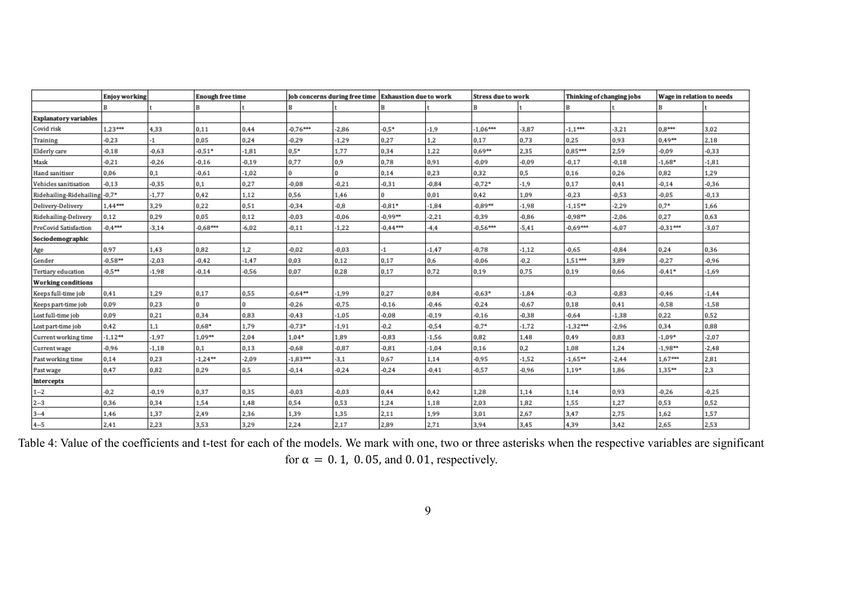|                               | <b>Enjoy working</b> |         | <b>Enough free time</b> |         | Job concerns during free time Exhaustion due to work |         |            |         | <b>Stress due to work</b> |         | Thinking of changing jobs |         | Wage in relation to needs |         |
|-------------------------------|----------------------|---------|-------------------------|---------|------------------------------------------------------|---------|------------|---------|---------------------------|---------|---------------------------|---------|---------------------------|---------|
|                               | в                    |         | R                       |         | R                                                    |         |            |         | B                         |         |                           |         | B                         |         |
| <b>Explanatory variables</b>  |                      |         |                         |         |                                                      |         |            |         |                           |         |                           |         |                           |         |
| Covid risk                    | 1,23***              | 4,33    | 0,11                    | 0,44    | $-0.76***$                                           | $-2,86$ | $-0.5*$    | $-1,9$  | $-1.06***$                | $-3,87$ | $-1.1***$                 | $-3,21$ | $0.8***$                  | 3,02    |
| Training                      | $-0,23$              | -1      | 0,05                    | 0,24    | $-0,29$                                              | $-1,29$ | 0,27       | 1,2     | 0,17                      | 0,73    | 0,25                      | 0,93    | $0.49**$                  | 2,18    |
| Elderly care                  | $-0,18$              | $-0,63$ | $-0.51*$                | $-1,81$ | $0.5*$                                               | 1,77    | 0,34       | 1,22    | 0.69**                    | 2,35    | $0.85***$                 | 2,59    | $-0,09$                   | $-0,33$ |
| Mask                          | $-0,21$              | $-0,26$ | $-0,16$                 | $-0,19$ | 0,77                                                 | 0,9     | 0,78       | 0,91    | $-0,09$                   | $-0,09$ | $-0,17$                   | $-0,18$ | $-1,68*$                  | $-1,81$ |
| Hand sanitiser                | 0,06                 | 0,1     | $-0,61$                 | $-1,02$ | $\Omega$                                             |         | 0,14       | 0,23    | 0,32                      | 0,5     | 0,16                      | 0,26    | 0,82                      | 1,29    |
| Vehicles sanitisation         | $-0,13$              | $-0,35$ | 0,1                     | 0,27    | $-0.08$                                              | $-0,21$ | $-0,31$    | $-0,84$ | $-0.72*$                  | $-1,9$  | 0,17                      | 0,41    | $-0,14$                   | $-0,36$ |
| Ridehailing-Ridehailing -0,7* |                      | $-1,77$ | 0,42                    | 1,12    | 0,56                                                 | 1,46    | $\Omega$   | 0,01    | 0,42                      | 1.09    | $-0,23$                   | $-0,53$ | $-0,05$                   | $-0,13$ |
| Delivery-Delivery             | 1,44***              | 3,29    | 0,22                    | 0,51    | $-0,34$                                              | $-0,8$  | $-0.81*$   | $-1,84$ | $-0.89**$                 | $-1,98$ | $-1.15**$                 | $-2,29$ | $0.7*$                    | 1,66    |
| Ridehailing-Delivery          | 0,12                 | 0,29    | 0,05                    | 0,12    | $-0.03$                                              | $-0.06$ | $-0.99**$  | $-2,21$ | $-0,39$                   | $-0,86$ | $-0.98**$                 | $-2,06$ | 0,27                      | 0,63    |
| PreCovid Satisfaction         | $-0.4***$            | $-3,14$ | $-0,68***$              | $-6,02$ | $-0,11$                                              | $-1,22$ | $-0.44***$ | $-4,4$  | $-0.56***$                | $-5,41$ | $-0.69***$                | $-6,07$ | $-0.31***$                | $-3,07$ |
| Sociodemographic              |                      |         |                         |         |                                                      |         |            |         |                           |         |                           |         |                           |         |
| Age                           | 0,97                 | 1,43    | 0,82                    | 1,2     | $-0.02$                                              | $-0.03$ | $-1$       | $-1,47$ | $-0.78$                   | $-1,12$ | $-0.65$                   | $-0.84$ | 0,24                      | 0,36    |
| Gender                        | $-0.58**$            | $-2,03$ | $-0.42$                 | $-1,47$ | 0,03                                                 | 0,12    | 0,17       | 0,6     | $-0.06$                   | $-0.2$  | 1,51***                   | 3,89    | $-0,27$                   | $-0,96$ |
| Tertiary education            | $-0.5**$             | $-1,98$ | $-0,14$                 | $-0,56$ | 0,07                                                 | 0,28    | 0,17       | 0,72    | 0,19                      | 0,75    | 0,19                      | 0,66    | $-0.41*$                  | $-1,69$ |
| <b>Working conditions</b>     |                      |         |                         |         |                                                      |         |            |         |                           |         |                           |         |                           |         |
| Keeps full-time job           | 0,41                 | 1,29    | 0,17                    | 0,55    | $-0.64**$                                            | $-1,99$ | 0,27       | 0,84    | $-0,63*$                  | $-1,84$ | $-0,3$                    | $-0,83$ | $-0,46$                   | $-1,44$ |
| Keeps part-time job           | 0,09                 | 0,23    | 0                       |         | $-0,26$                                              | $-0,75$ | $-0,16$    | $-0,46$ | $-0,24$                   | $-0,67$ | 0,18                      | 0,41    | $-0,58$                   | $-1,58$ |
| Lost full-time job            | 0,09                 | 0,21    | 0,34                    | 0,83    | $-0,43$                                              | $-1,05$ | $-0,08$    | $-0,19$ | $-0,16$                   | $-0,38$ | $-0,64$                   | $-1,38$ | 0,22                      | 0,52    |
| Lost part-time job            | 0,42                 | 1,1     | $0.68*$                 | 1,79    | $-0,73*$                                             | $-1,91$ | $-0,2$     | $-0,54$ | $-0.7*$                   | $-1,72$ | $-1,32***$                | $-2,96$ | 0,34                      | 0,88    |
| Current working time          | $-1,12**$            | $-1,97$ | $1.09**$                | 2,04    | $1,04*$                                              | 1,89    | $-0,83$    | $-1,56$ | 0,82                      | 1,48    | 0,49                      | 0,83    | $-1,09*$                  | $-2,07$ |
| Current wage                  | $-0,96$              | $-1,18$ | 0,1                     | 0,13    | $-0,68$                                              | $-0,87$ | $-0,81$    | $-1,04$ | 0,16                      | 0,2     | 1,08                      | 1,24    | $-1,98**$                 | $-2,48$ |
| Past working time             | 0,14                 | 0,23    | $-1,24**$               | $-2,09$ | $-1,83***$                                           | $-3,1$  | 0,67       | 1,14    | $-0,95$                   | $-1,52$ | $-1,65**$                 | $-2,44$ | 1,67***                   | 2,81    |
| Past wage                     | 0,47                 | 0,82    | 0,29                    | 0,5     | $-0,14$                                              | $-0,24$ | $-0,24$    | $-0,41$ | $-0,57$                   | $-0,96$ | 1,19*                     | 1,86    | 1,35**                    | 2,3     |
| Intercepts                    |                      |         |                         |         |                                                      |         |            |         |                           |         |                           |         |                           |         |
| $1 - 2$                       | $-0,2$               | $-0,19$ | 0,37                    | 0,35    | $-0,03$                                              | $-0,03$ | 0,44       | 0,42    | 1,28                      | 1,14    | 1,14                      | 0,93    | $-0,26$                   | $-0,25$ |
| $2 - 3$                       | 0,36                 | 0,34    | 1,54                    | 1,48    | 0,54                                                 | 0,53    | 1,24       | 1,18    | 2,03                      | 1,82    | 1,55                      | 1,27    | 0,53                      | 0,52    |
| $3 - 4$                       | 1,46                 | 1,37    | 2,49                    | 2,36    | 1,39                                                 | 1,35    | 2,11       | 1,99    | 3,01                      | 2,67    | 3,47                      | 2,75    | 1,62                      | 1,57    |
| $4 - 5$                       | 2,41                 | 2,23    | 3,53                    | 3,29    | 2,24                                                 | 2,17    | 2,89       | 2,71    | 3,94                      | 3,45    | 4,39                      | 3,42    | 2,65                      | 2,53    |

Table 4: Value of the coefficients and t-test for each of the models. We mark with one, two or three asterisks when the respective variables are significant for  $\alpha = 0.1$ , 0.05, and 0.01, respectively.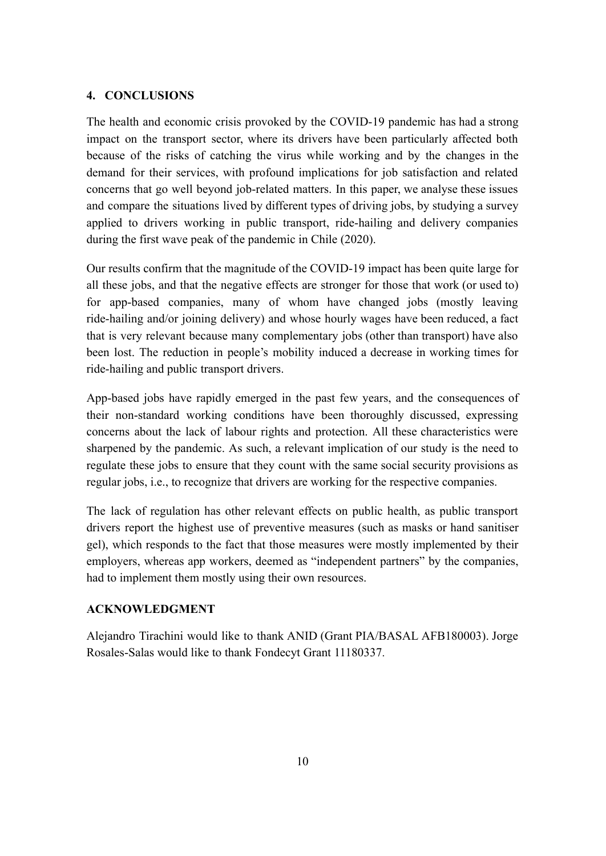## **4. CONCLUSIONS**

The health and economic crisis provoked by the COVID-19 pandemic has had a strong impact on the transport sector, where its drivers have been particularly affected both because of the risks of catching the virus while working and by the changes in the demand for their services, with profound implications for job satisfaction and related concerns that go well beyond job-related matters. In this paper, we analyse these issues and compare the situations lived by different types of driving jobs, by studying a survey applied to drivers working in public transport, ride-hailing and delivery companies during the first wave peak of the pandemic in Chile (2020).

Our results confirm that the magnitude of the COVID-19 impact has been quite large for all these jobs, and that the negative effects are stronger for those that work (or used to) for app-based companies, many of whom have changed jobs (mostly leaving ride-hailing and/or joining delivery) and whose hourly wages have been reduced, a fact that is very relevant because many complementary jobs (other than transport) have also been lost. The reduction in people's mobility induced a decrease in working times for ride-hailing and public transport drivers.

App-based jobs have rapidly emerged in the past few years, and the consequences of their non-standard working conditions have been thoroughly discussed, expressing concerns about the lack of labour rights and protection. All these characteristics were sharpened by the pandemic. As such, a relevant implication of our study is the need to regulate these jobs to ensure that they count with the same social security provisions as regular jobs, i.e., to recognize that drivers are working for the respective companies.

The lack of regulation has other relevant effects on public health, as public transport drivers report the highest use of preventive measures (such as masks or hand sanitiser gel), which responds to the fact that those measures were mostly implemented by their employers, whereas app workers, deemed as "independent partners" by the companies, had to implement them mostly using their own resources.

### **ACKNOWLEDGMENT**

Alejandro Tirachini would like to thank ANID (Grant PIA/BASAL AFB180003). Jorge Rosales-Salas would like to thank Fondecyt Grant 11180337.